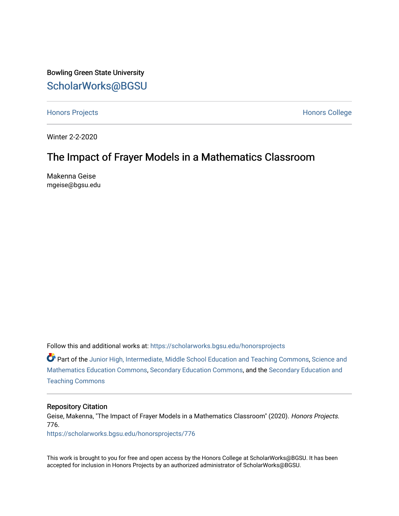Bowling Green State University [ScholarWorks@BGSU](https://scholarworks.bgsu.edu/) 

[Honors Projects](https://scholarworks.bgsu.edu/honorsprojects) **Honors** College

Winter 2-2-2020

# The Impact of Frayer Models in a Mathematics Classroom

Makenna Geise mgeise@bgsu.edu

Follow this and additional works at: [https://scholarworks.bgsu.edu/honorsprojects](https://scholarworks.bgsu.edu/honorsprojects?utm_source=scholarworks.bgsu.edu%2Fhonorsprojects%2F776&utm_medium=PDF&utm_campaign=PDFCoverPages) 

Part of the [Junior High, Intermediate, Middle School Education and Teaching Commons](http://network.bepress.com/hgg/discipline/807?utm_source=scholarworks.bgsu.edu%2Fhonorsprojects%2F776&utm_medium=PDF&utm_campaign=PDFCoverPages), [Science and](http://network.bepress.com/hgg/discipline/800?utm_source=scholarworks.bgsu.edu%2Fhonorsprojects%2F776&utm_medium=PDF&utm_campaign=PDFCoverPages)  [Mathematics Education Commons,](http://network.bepress.com/hgg/discipline/800?utm_source=scholarworks.bgsu.edu%2Fhonorsprojects%2F776&utm_medium=PDF&utm_campaign=PDFCoverPages) [Secondary Education Commons,](http://network.bepress.com/hgg/discipline/1382?utm_source=scholarworks.bgsu.edu%2Fhonorsprojects%2F776&utm_medium=PDF&utm_campaign=PDFCoverPages) and the [Secondary Education and](http://network.bepress.com/hgg/discipline/809?utm_source=scholarworks.bgsu.edu%2Fhonorsprojects%2F776&utm_medium=PDF&utm_campaign=PDFCoverPages)  [Teaching Commons](http://network.bepress.com/hgg/discipline/809?utm_source=scholarworks.bgsu.edu%2Fhonorsprojects%2F776&utm_medium=PDF&utm_campaign=PDFCoverPages)

#### Repository Citation

Geise, Makenna, "The Impact of Frayer Models in a Mathematics Classroom" (2020). Honors Projects. 776.

[https://scholarworks.bgsu.edu/honorsprojects/776](https://scholarworks.bgsu.edu/honorsprojects/776?utm_source=scholarworks.bgsu.edu%2Fhonorsprojects%2F776&utm_medium=PDF&utm_campaign=PDFCoverPages) 

This work is brought to you for free and open access by the Honors College at ScholarWorks@BGSU. It has been accepted for inclusion in Honors Projects by an authorized administrator of ScholarWorks@BGSU.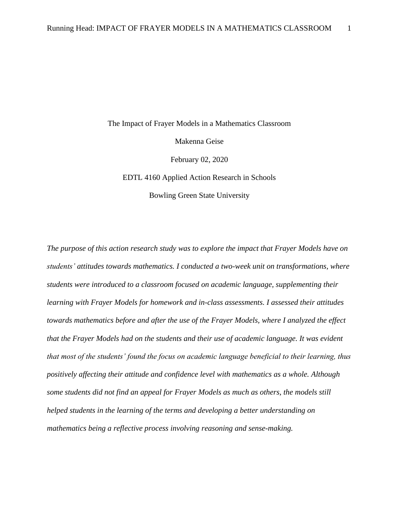The Impact of Frayer Models in a Mathematics Classroom Makenna Geise February 02, 2020 EDTL 4160 Applied Action Research in Schools Bowling Green State University

*The purpose of this action research study was to explore the impact that Frayer Models have on students' attitudes towards mathematics. I conducted a two-week unit on transformations, where students were introduced to a classroom focused on academic language, supplementing their learning with Frayer Models for homework and in-class assessments. I assessed their attitudes towards mathematics before and after the use of the Frayer Models, where I analyzed the effect that the Frayer Models had on the students and their use of academic language. It was evident that most of the students' found the focus on academic language beneficial to their learning, thus positively affecting their attitude and confidence level with mathematics as a whole. Although some students did not find an appeal for Frayer Models as much as others, the models still helped students in the learning of the terms and developing a better understanding on mathematics being a reflective process involving reasoning and sense-making.*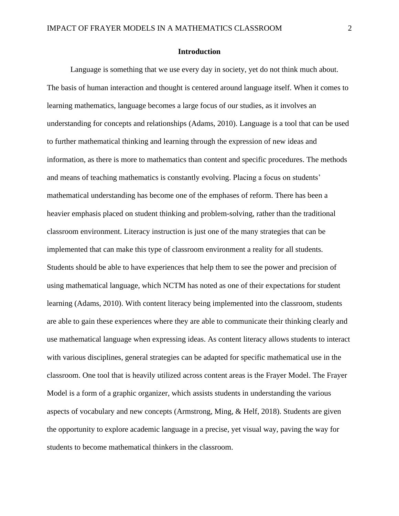### **Introduction**

Language is something that we use every day in society, yet do not think much about. The basis of human interaction and thought is centered around language itself. When it comes to learning mathematics, language becomes a large focus of our studies, as it involves an understanding for concepts and relationships (Adams, 2010). Language is a tool that can be used to further mathematical thinking and learning through the expression of new ideas and information, as there is more to mathematics than content and specific procedures. The methods and means of teaching mathematics is constantly evolving. Placing a focus on students' mathematical understanding has become one of the emphases of reform. There has been a heavier emphasis placed on student thinking and problem-solving, rather than the traditional classroom environment. Literacy instruction is just one of the many strategies that can be implemented that can make this type of classroom environment a reality for all students. Students should be able to have experiences that help them to see the power and precision of using mathematical language, which NCTM has noted as one of their expectations for student learning (Adams, 2010). With content literacy being implemented into the classroom, students are able to gain these experiences where they are able to communicate their thinking clearly and use mathematical language when expressing ideas. As content literacy allows students to interact with various disciplines, general strategies can be adapted for specific mathematical use in the classroom. One tool that is heavily utilized across content areas is the Frayer Model. The Frayer Model is a form of a graphic organizer, which assists students in understanding the various aspects of vocabulary and new concepts (Armstrong, Ming, & Helf, 2018). Students are given the opportunity to explore academic language in a precise, yet visual way, paving the way for students to become mathematical thinkers in the classroom.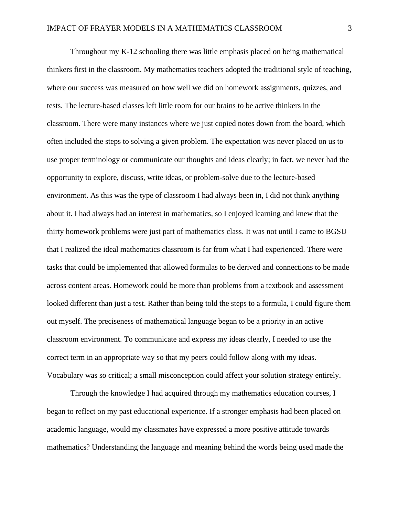Throughout my K-12 schooling there was little emphasis placed on being mathematical thinkers first in the classroom. My mathematics teachers adopted the traditional style of teaching, where our success was measured on how well we did on homework assignments, quizzes, and tests. The lecture-based classes left little room for our brains to be active thinkers in the classroom. There were many instances where we just copied notes down from the board, which often included the steps to solving a given problem. The expectation was never placed on us to use proper terminology or communicate our thoughts and ideas clearly; in fact, we never had the opportunity to explore, discuss, write ideas, or problem-solve due to the lecture-based environment. As this was the type of classroom I had always been in, I did not think anything about it. I had always had an interest in mathematics, so I enjoyed learning and knew that the thirty homework problems were just part of mathematics class. It was not until I came to BGSU that I realized the ideal mathematics classroom is far from what I had experienced. There were tasks that could be implemented that allowed formulas to be derived and connections to be made across content areas. Homework could be more than problems from a textbook and assessment looked different than just a test. Rather than being told the steps to a formula, I could figure them out myself. The preciseness of mathematical language began to be a priority in an active classroom environment. To communicate and express my ideas clearly, I needed to use the correct term in an appropriate way so that my peers could follow along with my ideas. Vocabulary was so critical; a small misconception could affect your solution strategy entirely.

Through the knowledge I had acquired through my mathematics education courses, I began to reflect on my past educational experience. If a stronger emphasis had been placed on academic language, would my classmates have expressed a more positive attitude towards mathematics? Understanding the language and meaning behind the words being used made the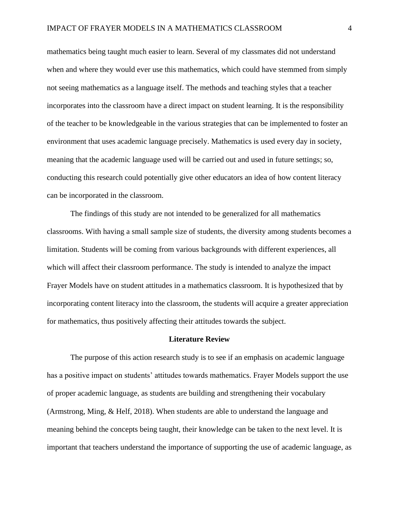mathematics being taught much easier to learn. Several of my classmates did not understand when and where they would ever use this mathematics, which could have stemmed from simply not seeing mathematics as a language itself. The methods and teaching styles that a teacher incorporates into the classroom have a direct impact on student learning. It is the responsibility of the teacher to be knowledgeable in the various strategies that can be implemented to foster an environment that uses academic language precisely. Mathematics is used every day in society, meaning that the academic language used will be carried out and used in future settings; so, conducting this research could potentially give other educators an idea of how content literacy can be incorporated in the classroom.

The findings of this study are not intended to be generalized for all mathematics classrooms. With having a small sample size of students, the diversity among students becomes a limitation. Students will be coming from various backgrounds with different experiences, all which will affect their classroom performance. The study is intended to analyze the impact Frayer Models have on student attitudes in a mathematics classroom. It is hypothesized that by incorporating content literacy into the classroom, the students will acquire a greater appreciation for mathematics, thus positively affecting their attitudes towards the subject.

#### **Literature Review**

The purpose of this action research study is to see if an emphasis on academic language has a positive impact on students' attitudes towards mathematics. Frayer Models support the use of proper academic language, as students are building and strengthening their vocabulary (Armstrong, Ming, & Helf, 2018). When students are able to understand the language and meaning behind the concepts being taught, their knowledge can be taken to the next level. It is important that teachers understand the importance of supporting the use of academic language, as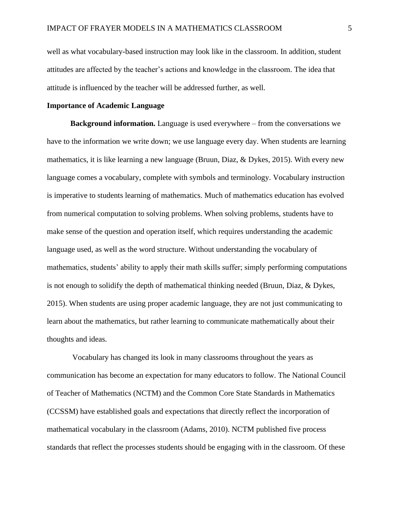well as what vocabulary-based instruction may look like in the classroom. In addition, student attitudes are affected by the teacher's actions and knowledge in the classroom. The idea that attitude is influenced by the teacher will be addressed further, as well.

### **Importance of Academic Language**

**Background information.** Language is used everywhere – from the conversations we have to the information we write down; we use language every day. When students are learning mathematics, it is like learning a new language (Bruun, Diaz, & Dykes, 2015). With every new language comes a vocabulary, complete with symbols and terminology. Vocabulary instruction is imperative to students learning of mathematics. Much of mathematics education has evolved from numerical computation to solving problems. When solving problems, students have to make sense of the question and operation itself, which requires understanding the academic language used, as well as the word structure. Without understanding the vocabulary of mathematics, students' ability to apply their math skills suffer; simply performing computations is not enough to solidify the depth of mathematical thinking needed (Bruun, Diaz, & Dykes, 2015). When students are using proper academic language, they are not just communicating to learn about the mathematics, but rather learning to communicate mathematically about their thoughts and ideas.

Vocabulary has changed its look in many classrooms throughout the years as communication has become an expectation for many educators to follow. The National Council of Teacher of Mathematics (NCTM) and the Common Core State Standards in Mathematics (CCSSM) have established goals and expectations that directly reflect the incorporation of mathematical vocabulary in the classroom (Adams, 2010). NCTM published five process standards that reflect the processes students should be engaging with in the classroom. Of these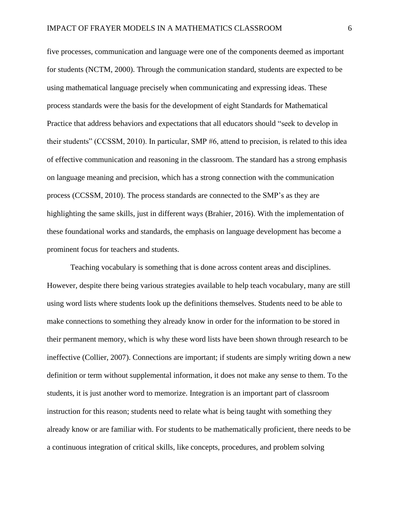five processes, communication and language were one of the components deemed as important for students (NCTM, 2000). Through the communication standard, students are expected to be using mathematical language precisely when communicating and expressing ideas. These process standards were the basis for the development of eight Standards for Mathematical Practice that address behaviors and expectations that all educators should "seek to develop in their students" (CCSSM, 2010). In particular, SMP #6, attend to precision, is related to this idea of effective communication and reasoning in the classroom. The standard has a strong emphasis on language meaning and precision, which has a strong connection with the communication process (CCSSM, 2010). The process standards are connected to the SMP's as they are highlighting the same skills, just in different ways (Brahier, 2016). With the implementation of these foundational works and standards, the emphasis on language development has become a prominent focus for teachers and students.

Teaching vocabulary is something that is done across content areas and disciplines. However, despite there being various strategies available to help teach vocabulary, many are still using word lists where students look up the definitions themselves. Students need to be able to make connections to something they already know in order for the information to be stored in their permanent memory, which is why these word lists have been shown through research to be ineffective (Collier, 2007). Connections are important; if students are simply writing down a new definition or term without supplemental information, it does not make any sense to them. To the students, it is just another word to memorize. Integration is an important part of classroom instruction for this reason; students need to relate what is being taught with something they already know or are familiar with. For students to be mathematically proficient, there needs to be a continuous integration of critical skills, like concepts, procedures, and problem solving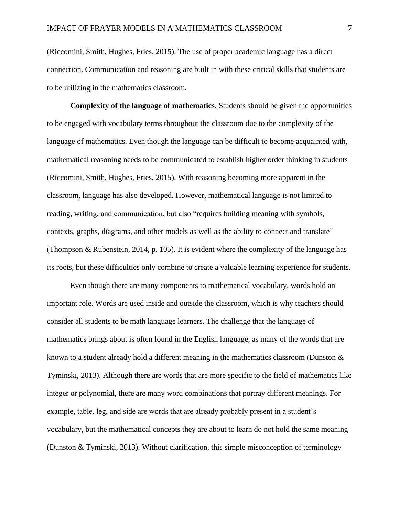(Riccomini, Smith, Hughes, Fries, 2015). The use of proper academic language has a direct connection. Communication and reasoning are built in with these critical skills that students are to be utilizing in the mathematics classroom.

**Complexity of the language of mathematics.** Students should be given the opportunities to be engaged with vocabulary terms throughout the classroom due to the complexity of the language of mathematics. Even though the language can be difficult to become acquainted with, mathematical reasoning needs to be communicated to establish higher order thinking in students (Riccomini, Smith, Hughes, Fries, 2015). With reasoning becoming more apparent in the classroom, language has also developed. However, mathematical language is not limited to reading, writing, and communication, but also "requires building meaning with symbols, contexts, graphs, diagrams, and other models as well as the ability to connect and translate" (Thompson & Rubenstein, 2014, p. 105). It is evident where the complexity of the language has its roots, but these difficulties only combine to create a valuable learning experience for students.

Even though there are many components to mathematical vocabulary, words hold an important role. Words are used inside and outside the classroom, which is why teachers should consider all students to be math language learners. The challenge that the language of mathematics brings about is often found in the English language, as many of the words that are known to a student already hold a different meaning in the mathematics classroom (Dunston & Tyminski, 2013). Although there are words that are more specific to the field of mathematics like integer or polynomial, there are many word combinations that portray different meanings. For example, table, leg, and side are words that are already probably present in a student's vocabulary, but the mathematical concepts they are about to learn do not hold the same meaning (Dunston & Tyminski, 2013). Without clarification, this simple misconception of terminology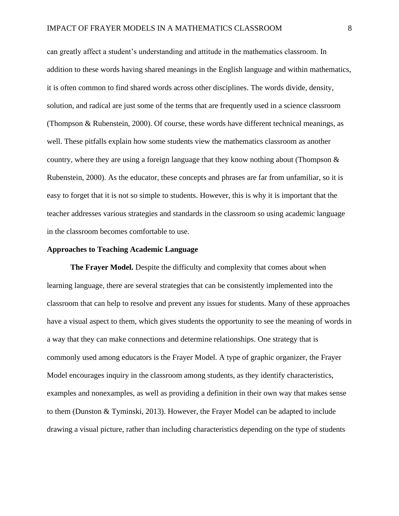can greatly affect a student's understanding and attitude in the mathematics classroom. In addition to these words having shared meanings in the English language and within mathematics, it is often common to find shared words across other disciplines. The words divide, density, solution, and radical are just some of the terms that are frequently used in a science classroom (Thompson & Rubenstein, 2000). Of course, these words have different technical meanings, as well. These pitfalls explain how some students view the mathematics classroom as another country, where they are using a foreign language that they know nothing about (Thompson  $\&$ Rubenstein, 2000). As the educator, these concepts and phrases are far from unfamiliar, so it is easy to forget that it is not so simple to students. However, this is why it is important that the teacher addresses various strategies and standards in the classroom so using academic language in the classroom becomes comfortable to use.

### **Approaches to Teaching Academic Language**

**The Frayer Model.** Despite the difficulty and complexity that comes about when learning language, there are several strategies that can be consistently implemented into the classroom that can help to resolve and prevent any issues for students. Many of these approaches have a visual aspect to them, which gives students the opportunity to see the meaning of words in a way that they can make connections and determine relationships. One strategy that is commonly used among educators is the Frayer Model. A type of graphic organizer, the Frayer Model encourages inquiry in the classroom among students, as they identify characteristics, examples and nonexamples, as well as providing a definition in their own way that makes sense to them (Dunston & Tyminski, 2013). However, the Frayer Model can be adapted to include drawing a visual picture, rather than including characteristics depending on the type of students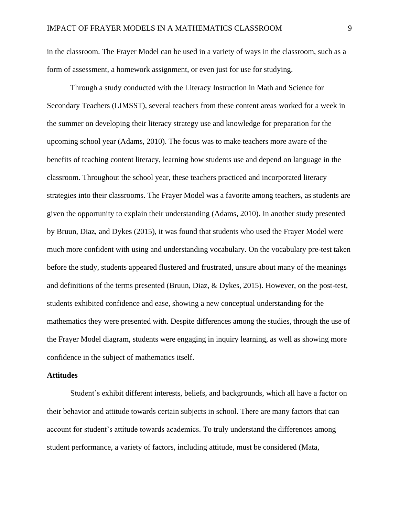in the classroom. The Frayer Model can be used in a variety of ways in the classroom, such as a form of assessment, a homework assignment, or even just for use for studying.

Through a study conducted with the Literacy Instruction in Math and Science for Secondary Teachers (LIMSST), several teachers from these content areas worked for a week in the summer on developing their literacy strategy use and knowledge for preparation for the upcoming school year (Adams, 2010). The focus was to make teachers more aware of the benefits of teaching content literacy, learning how students use and depend on language in the classroom. Throughout the school year, these teachers practiced and incorporated literacy strategies into their classrooms. The Frayer Model was a favorite among teachers, as students are given the opportunity to explain their understanding (Adams, 2010). In another study presented by Bruun, Diaz, and Dykes (2015), it was found that students who used the Frayer Model were much more confident with using and understanding vocabulary. On the vocabulary pre-test taken before the study, students appeared flustered and frustrated, unsure about many of the meanings and definitions of the terms presented (Bruun, Diaz, & Dykes, 2015). However, on the post-test, students exhibited confidence and ease, showing a new conceptual understanding for the mathematics they were presented with. Despite differences among the studies, through the use of the Frayer Model diagram, students were engaging in inquiry learning, as well as showing more confidence in the subject of mathematics itself.

#### **Attitudes**

Student's exhibit different interests, beliefs, and backgrounds, which all have a factor on their behavior and attitude towards certain subjects in school. There are many factors that can account for student's attitude towards academics. To truly understand the differences among student performance, a variety of factors, including attitude, must be considered (Mata,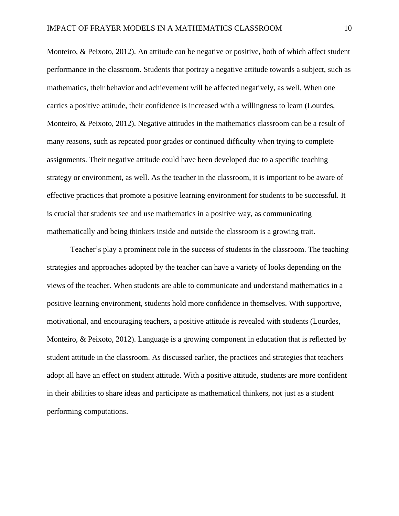Monteiro, & Peixoto, 2012). An attitude can be negative or positive, both of which affect student performance in the classroom. Students that portray a negative attitude towards a subject, such as mathematics, their behavior and achievement will be affected negatively, as well. When one carries a positive attitude, their confidence is increased with a willingness to learn (Lourdes, Monteiro, & Peixoto, 2012). Negative attitudes in the mathematics classroom can be a result of many reasons, such as repeated poor grades or continued difficulty when trying to complete assignments. Their negative attitude could have been developed due to a specific teaching strategy or environment, as well. As the teacher in the classroom, it is important to be aware of effective practices that promote a positive learning environment for students to be successful. It is crucial that students see and use mathematics in a positive way, as communicating mathematically and being thinkers inside and outside the classroom is a growing trait.

Teacher's play a prominent role in the success of students in the classroom. The teaching strategies and approaches adopted by the teacher can have a variety of looks depending on the views of the teacher. When students are able to communicate and understand mathematics in a positive learning environment, students hold more confidence in themselves. With supportive, motivational, and encouraging teachers, a positive attitude is revealed with students (Lourdes, Monteiro, & Peixoto, 2012). Language is a growing component in education that is reflected by student attitude in the classroom. As discussed earlier, the practices and strategies that teachers adopt all have an effect on student attitude. With a positive attitude, students are more confident in their abilities to share ideas and participate as mathematical thinkers, not just as a student performing computations.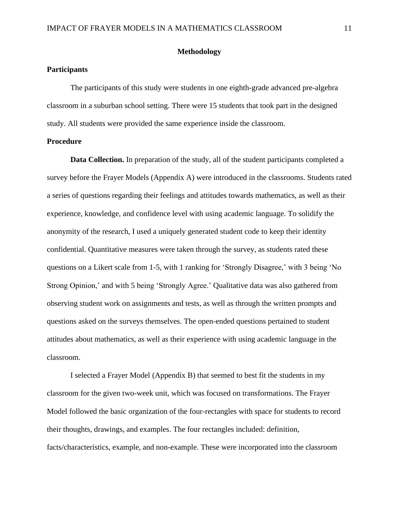### **Methodology**

### **Participants**

The participants of this study were students in one eighth-grade advanced pre-algebra classroom in a suburban school setting. There were 15 students that took part in the designed study. All students were provided the same experience inside the classroom.

#### **Procedure**

**Data Collection.** In preparation of the study, all of the student participants completed a survey before the Frayer Models (Appendix A) were introduced in the classrooms. Students rated a series of questions regarding their feelings and attitudes towards mathematics, as well as their experience, knowledge, and confidence level with using academic language. To solidify the anonymity of the research, I used a uniquely generated student code to keep their identity confidential. Quantitative measures were taken through the survey, as students rated these questions on a Likert scale from 1-5, with 1 ranking for 'Strongly Disagree,' with 3 being 'No Strong Opinion,' and with 5 being 'Strongly Agree.' Qualitative data was also gathered from observing student work on assignments and tests, as well as through the written prompts and questions asked on the surveys themselves. The open-ended questions pertained to student attitudes about mathematics, as well as their experience with using academic language in the classroom.

I selected a Frayer Model (Appendix B) that seemed to best fit the students in my classroom for the given two-week unit, which was focused on transformations. The Frayer Model followed the basic organization of the four-rectangles with space for students to record their thoughts, drawings, and examples. The four rectangles included: definition, facts/characteristics, example, and non-example. These were incorporated into the classroom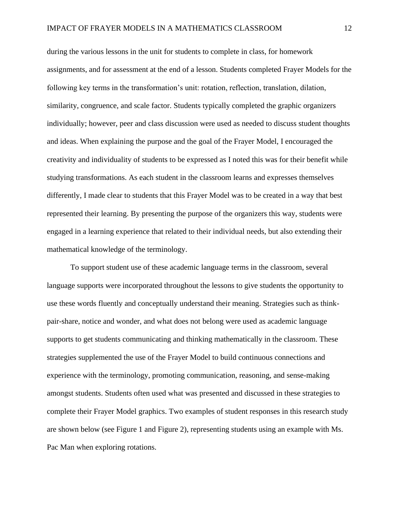during the various lessons in the unit for students to complete in class, for homework assignments, and for assessment at the end of a lesson. Students completed Frayer Models for the following key terms in the transformation's unit: rotation, reflection, translation, dilation, similarity, congruence, and scale factor. Students typically completed the graphic organizers individually; however, peer and class discussion were used as needed to discuss student thoughts and ideas. When explaining the purpose and the goal of the Frayer Model, I encouraged the creativity and individuality of students to be expressed as I noted this was for their benefit while studying transformations. As each student in the classroom learns and expresses themselves differently, I made clear to students that this Frayer Model was to be created in a way that best represented their learning. By presenting the purpose of the organizers this way, students were engaged in a learning experience that related to their individual needs, but also extending their mathematical knowledge of the terminology.

To support student use of these academic language terms in the classroom, several language supports were incorporated throughout the lessons to give students the opportunity to use these words fluently and conceptually understand their meaning. Strategies such as thinkpair-share, notice and wonder, and what does not belong were used as academic language supports to get students communicating and thinking mathematically in the classroom. These strategies supplemented the use of the Frayer Model to build continuous connections and experience with the terminology, promoting communication, reasoning, and sense-making amongst students. Students often used what was presented and discussed in these strategies to complete their Frayer Model graphics. Two examples of student responses in this research study are shown below (see Figure 1 and Figure 2), representing students using an example with Ms. Pac Man when exploring rotations.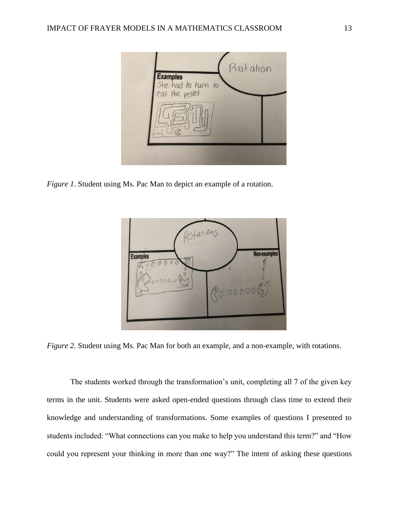

*Figure 1*. Student using Ms. Pac Man to depict an example of a rotation.



*Figure 2.* Student using Ms. Pac Man for both an example, and a non-example, with rotations.

The students worked through the transformation's unit, completing all 7 of the given key terms in the unit. Students were asked open-ended questions through class time to extend their knowledge and understanding of transformations. Some examples of questions I presented to students included: "What connections can you make to help you understand this term?" and "How could you represent your thinking in more than one way?" The intent of asking these questions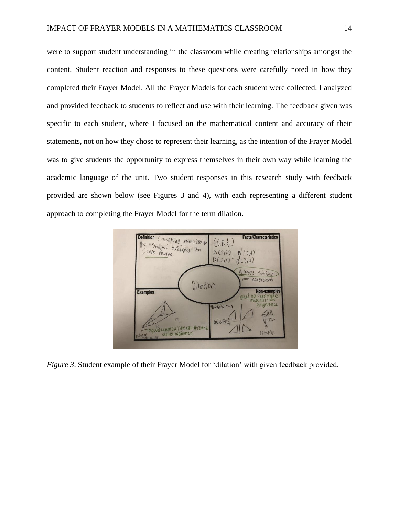were to support student understanding in the classroom while creating relationships amongst the content. Student reaction and responses to these questions were carefully noted in how they completed their Frayer Model. All the Frayer Models for each student were collected. I analyzed and provided feedback to students to reflect and use with their learning. The feedback given was specific to each student, where I focused on the mathematical content and accuracy of their statements, not on how they chose to represent their learning, as the intention of the Frayer Model was to give students the opportunity to express themselves in their own way while learning the academic language of the unit. Two student responses in this research study with feedback provided are shown below (see Figures 3 and 4), with each representing a different student approach to completing the Frayer Model for the term dilation.



*Figure 3*. Student example of their Frayer Model for 'dilation' with given feedback provided.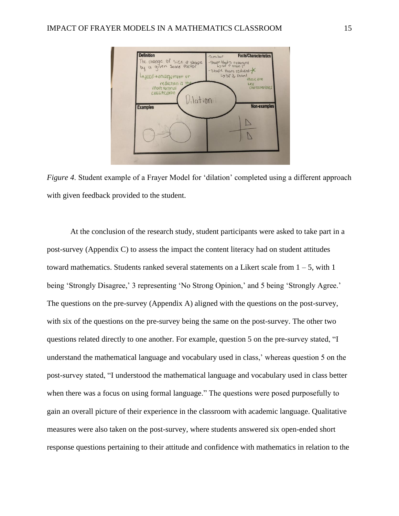

*Figure 4*. Student example of a Frayer Model for 'dilation' completed using a different approach with given feedback provided to the student.

At the conclusion of the research study, student participants were asked to take part in a post-survey (Appendix C) to assess the impact the content literacy had on student attitudes toward mathematics. Students ranked several statements on a Likert scale from  $1 - 5$ , with 1 being 'Strongly Disagree,' 3 representing 'No Strong Opinion,' and 5 being 'Strongly Agree.' The questions on the pre-survey (Appendix A) aligned with the questions on the post-survey, with six of the questions on the pre-survey being the same on the post-survey. The other two questions related directly to one another. For example, question 5 on the pre-survey stated, "I understand the mathematical language and vocabulary used in class,' whereas question 5 on the post-survey stated, "I understood the mathematical language and vocabulary used in class better when there was a focus on using formal language." The questions were posed purposefully to gain an overall picture of their experience in the classroom with academic language. Qualitative measures were also taken on the post-survey, where students answered six open-ended short response questions pertaining to their attitude and confidence with mathematics in relation to the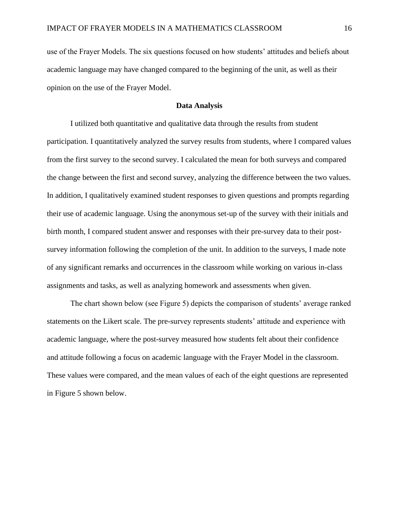use of the Frayer Models. The six questions focused on how students' attitudes and beliefs about academic language may have changed compared to the beginning of the unit, as well as their opinion on the use of the Frayer Model.

### **Data Analysis**

I utilized both quantitative and qualitative data through the results from student participation. I quantitatively analyzed the survey results from students, where I compared values from the first survey to the second survey. I calculated the mean for both surveys and compared the change between the first and second survey, analyzing the difference between the two values. In addition, I qualitatively examined student responses to given questions and prompts regarding their use of academic language. Using the anonymous set-up of the survey with their initials and birth month, I compared student answer and responses with their pre-survey data to their postsurvey information following the completion of the unit. In addition to the surveys, I made note of any significant remarks and occurrences in the classroom while working on various in-class assignments and tasks, as well as analyzing homework and assessments when given.

The chart shown below (see Figure 5) depicts the comparison of students' average ranked statements on the Likert scale. The pre-survey represents students' attitude and experience with academic language, where the post-survey measured how students felt about their confidence and attitude following a focus on academic language with the Frayer Model in the classroom. These values were compared, and the mean values of each of the eight questions are represented in Figure 5 shown below.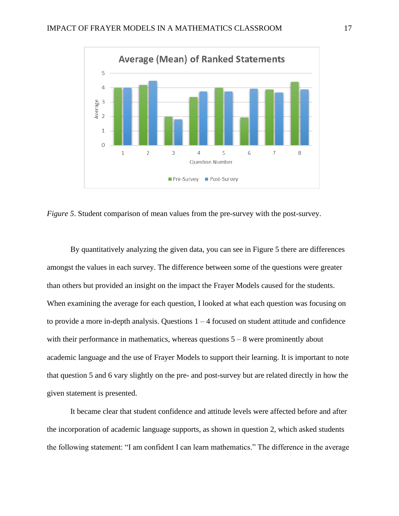

*Figure 5.* Student comparison of mean values from the pre-survey with the post-survey.

By quantitatively analyzing the given data, you can see in Figure 5 there are differences amongst the values in each survey. The difference between some of the questions were greater than others but provided an insight on the impact the Frayer Models caused for the students. When examining the average for each question, I looked at what each question was focusing on to provide a more in-depth analysis. Questions  $1 - 4$  focused on student attitude and confidence with their performance in mathematics, whereas questions  $5 - 8$  were prominently about academic language and the use of Frayer Models to support their learning. It is important to note that question 5 and 6 vary slightly on the pre- and post-survey but are related directly in how the given statement is presented.

It became clear that student confidence and attitude levels were affected before and after the incorporation of academic language supports, as shown in question 2, which asked students the following statement: "I am confident I can learn mathematics." The difference in the average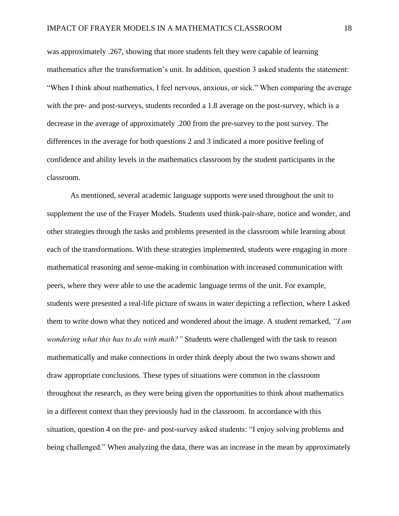was approximately .267, showing that more students felt they were capable of learning mathematics after the transformation's unit. In addition, question 3 asked students the statement: "When I think about mathematics, I feel nervous, anxious, or sick." When comparing the average with the pre- and post-surveys, students recorded a 1.8 average on the post-survey, which is a decrease in the average of approximately .200 from the pre-survey to the post survey. The differences in the average for both questions 2 and 3 indicated a more positive feeling of confidence and ability levels in the mathematics classroom by the student participants in the classroom.

As mentioned, several academic language supports were used throughout the unit to supplement the use of the Frayer Models. Students used think-pair-share, notice and wonder, and other strategies through the tasks and problems presented in the classroom while learning about each of the transformations. With these strategies implemented, students were engaging in more mathematical reasoning and sense-making in combination with increased communication with peers, where they were able to use the academic language terms of the unit. For example, students were presented a real-life picture of swans in water depicting a reflection, where I asked them to write down what they noticed and wondered about the image. A student remarked, *"I am wondering what this has to do with math?"* Students were challenged with the task to reason mathematically and make connections in order think deeply about the two swans shown and draw appropriate conclusions. These types of situations were common in the classroom throughout the research, as they were being given the opportunities to think about mathematics in a different context than they previously had in the classroom. In accordance with this situation, question 4 on the pre- and post-survey asked students: "I enjoy solving problems and being challenged." When analyzing the data, there was an increase in the mean by approximately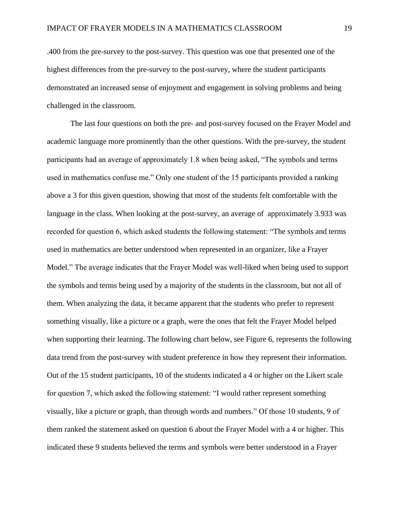.400 from the pre-survey to the post-survey. This question was one that presented one of the highest differences from the pre-survey to the post-survey, where the student participants demonstrated an increased sense of enjoyment and engagement in solving problems and being challenged in the classroom.

The last four questions on both the pre- and post-survey focused on the Frayer Model and academic language more prominently than the other questions. With the pre-survey, the student participants had an average of approximately 1.8 when being asked, "The symbols and terms used in mathematics confuse me." Only one student of the 15 participants provided a ranking above a 3 for this given question, showing that most of the students felt comfortable with the language in the class. When looking at the post-survey, an average of approximately 3.933 was recorded for question 6, which asked students the following statement: "The symbols and terms used in mathematics are better understood when represented in an organizer, like a Frayer Model." The average indicates that the Frayer Model was well-liked when being used to support the symbols and terms being used by a majority of the students in the classroom, but not all of them. When analyzing the data, it became apparent that the students who prefer to represent something visually, like a picture or a graph, were the ones that felt the Frayer Model helped when supporting their learning. The following chart below, see Figure 6, represents the following data trend from the post-survey with student preference in how they represent their information. Out of the 15 student participants, 10 of the students indicated a 4 or higher on the Likert scale for question 7, which asked the following statement: "I would rather represent something visually, like a picture or graph, than through words and numbers." Of those 10 students, 9 of them ranked the statement asked on question 6 about the Frayer Model with a 4 or higher. This indicated these 9 students believed the terms and symbols were better understood in a Frayer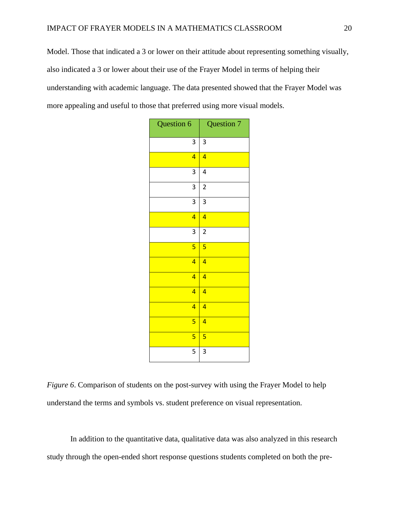Model. Those that indicated a 3 or lower on their attitude about representing something visually, also indicated a 3 or lower about their use of the Frayer Model in terms of helping their understanding with academic language. The data presented showed that the Frayer Model was more appealing and useful to those that preferred using more visual models.

| Question 6              | Question 7              |
|-------------------------|-------------------------|
| 3                       | 3                       |
| $\overline{\mathbf{4}}$ | $\overline{4}$          |
| 3                       | 4                       |
| 3                       | $\overline{c}$          |
| 3                       | 3                       |
| $\overline{\mathbf{4}}$ | $\overline{4}$          |
| 3                       | $\overline{\mathbf{c}}$ |
| 5                       | 5                       |
| $\overline{4}$          | $\overline{4}$          |
| $\overline{4}$          | $\overline{4}$          |
| 4                       | $\overline{4}$          |
| 4                       | $\overline{4}$          |
| 5                       | $\overline{4}$          |
| 5                       | 5                       |
| 5                       | 3                       |

*Figure 6*. Comparison of students on the post-survey with using the Frayer Model to help understand the terms and symbols vs. student preference on visual representation.

In addition to the quantitative data, qualitative data was also analyzed in this research study through the open-ended short response questions students completed on both the pre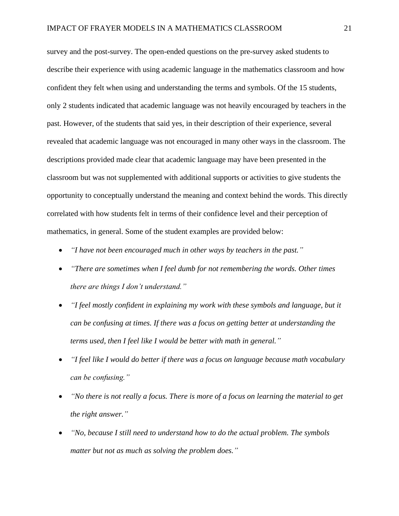survey and the post-survey. The open-ended questions on the pre-survey asked students to describe their experience with using academic language in the mathematics classroom and how confident they felt when using and understanding the terms and symbols. Of the 15 students, only 2 students indicated that academic language was not heavily encouraged by teachers in the past. However, of the students that said yes, in their description of their experience, several revealed that academic language was not encouraged in many other ways in the classroom. The descriptions provided made clear that academic language may have been presented in the classroom but was not supplemented with additional supports or activities to give students the opportunity to conceptually understand the meaning and context behind the words. This directly correlated with how students felt in terms of their confidence level and their perception of mathematics, in general. Some of the student examples are provided below:

- *"I have not been encouraged much in other ways by teachers in the past."*
- *"There are sometimes when I feel dumb for not remembering the words. Other times there are things I don't understand."*
- *"I feel mostly confident in explaining my work with these symbols and language, but it can be confusing at times. If there was a focus on getting better at understanding the terms used, then I feel like I would be better with math in general."*
- *"I feel like I would do better if there was a focus on language because math vocabulary can be confusing."*
- *"No there is not really a focus. There is more of a focus on learning the material to get the right answer."*
- *"No, because I still need to understand how to do the actual problem. The symbols matter but not as much as solving the problem does."*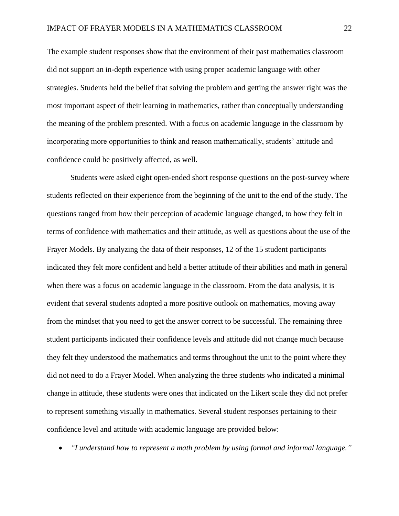The example student responses show that the environment of their past mathematics classroom did not support an in-depth experience with using proper academic language with other strategies. Students held the belief that solving the problem and getting the answer right was the most important aspect of their learning in mathematics, rather than conceptually understanding the meaning of the problem presented. With a focus on academic language in the classroom by incorporating more opportunities to think and reason mathematically, students' attitude and confidence could be positively affected, as well.

Students were asked eight open-ended short response questions on the post-survey where students reflected on their experience from the beginning of the unit to the end of the study. The questions ranged from how their perception of academic language changed, to how they felt in terms of confidence with mathematics and their attitude, as well as questions about the use of the Frayer Models. By analyzing the data of their responses, 12 of the 15 student participants indicated they felt more confident and held a better attitude of their abilities and math in general when there was a focus on academic language in the classroom. From the data analysis, it is evident that several students adopted a more positive outlook on mathematics, moving away from the mindset that you need to get the answer correct to be successful. The remaining three student participants indicated their confidence levels and attitude did not change much because they felt they understood the mathematics and terms throughout the unit to the point where they did not need to do a Frayer Model. When analyzing the three students who indicated a minimal change in attitude, these students were ones that indicated on the Likert scale they did not prefer to represent something visually in mathematics. Several student responses pertaining to their confidence level and attitude with academic language are provided below:

• *"I understand how to represent a math problem by using formal and informal language."*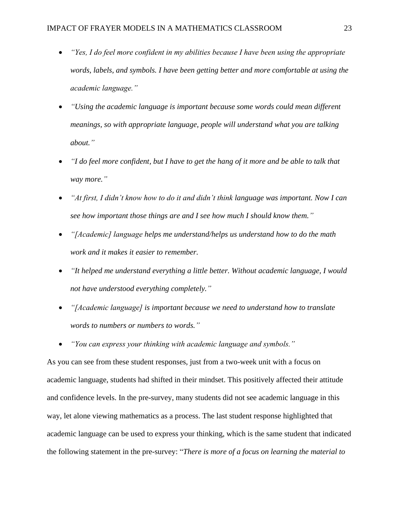- *"Yes, I do feel more confident in my abilities because I have been using the appropriate words, labels, and symbols. I have been getting better and more comfortable at using the academic language."*
- *"Using the academic language is important because some words could mean different meanings, so with appropriate language, people will understand what you are talking about."*
- *"I do feel more confident, but I have to get the hang of it more and be able to talk that way more."*
- *"At first, I didn't know how to do it and didn't think language was important. Now I can see how important those things are and I see how much I should know them."*
- *"[Academic] language helps me understand/helps us understand how to do the math work and it makes it easier to remember.*
- *"It helped me understand everything a little better. Without academic language, I would not have understood everything completely."*
- *"[Academic language] is important because we need to understand how to translate words to numbers or numbers to words."*
- *"You can express your thinking with academic language and symbols."*

As you can see from these student responses, just from a two-week unit with a focus on academic language, students had shifted in their mindset. This positively affected their attitude and confidence levels. In the pre-survey, many students did not see academic language in this way, let alone viewing mathematics as a process. The last student response highlighted that academic language can be used to express your thinking, which is the same student that indicated the following statement in the pre-survey: "*There is more of a focus on learning the material to*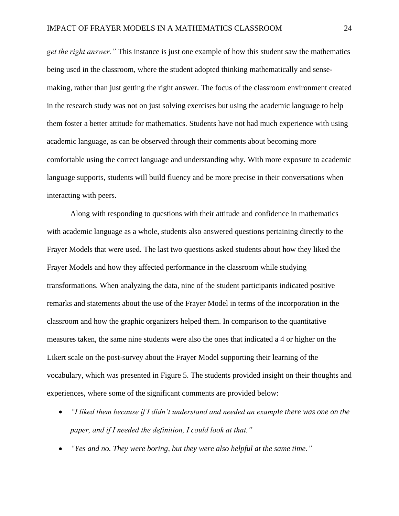*get the right answer."* This instance is just one example of how this student saw the mathematics being used in the classroom, where the student adopted thinking mathematically and sensemaking, rather than just getting the right answer. The focus of the classroom environment created in the research study was not on just solving exercises but using the academic language to help them foster a better attitude for mathematics. Students have not had much experience with using academic language, as can be observed through their comments about becoming more comfortable using the correct language and understanding why. With more exposure to academic language supports, students will build fluency and be more precise in their conversations when interacting with peers.

Along with responding to questions with their attitude and confidence in mathematics with academic language as a whole, students also answered questions pertaining directly to the Frayer Models that were used. The last two questions asked students about how they liked the Frayer Models and how they affected performance in the classroom while studying transformations. When analyzing the data, nine of the student participants indicated positive remarks and statements about the use of the Frayer Model in terms of the incorporation in the classroom and how the graphic organizers helped them. In comparison to the quantitative measures taken, the same nine students were also the ones that indicated a 4 or higher on the Likert scale on the post-survey about the Frayer Model supporting their learning of the vocabulary, which was presented in Figure 5. The students provided insight on their thoughts and experiences, where some of the significant comments are provided below:

- *"I liked them because if I didn't understand and needed an example there was one on the paper, and if I needed the definition, I could look at that."*
- *"Yes and no. They were boring, but they were also helpful at the same time."*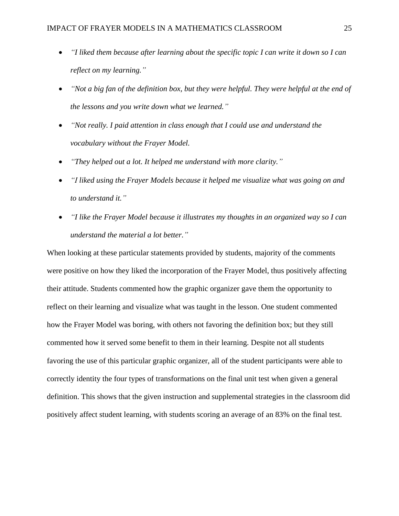- *"I liked them because after learning about the specific topic I can write it down so I can reflect on my learning."*
- *"Not a big fan of the definition box, but they were helpful. They were helpful at the end of the lessons and you write down what we learned."*
- *"Not really. I paid attention in class enough that I could use and understand the vocabulary without the Frayer Model.*
- *"They helped out a lot. It helped me understand with more clarity."*
- *"I liked using the Frayer Models because it helped me visualize what was going on and to understand it."*
- *"I like the Frayer Model because it illustrates my thoughts in an organized way so I can understand the material a lot better."*

When looking at these particular statements provided by students, majority of the comments were positive on how they liked the incorporation of the Frayer Model, thus positively affecting their attitude. Students commented how the graphic organizer gave them the opportunity to reflect on their learning and visualize what was taught in the lesson. One student commented how the Frayer Model was boring, with others not favoring the definition box; but they still commented how it served some benefit to them in their learning. Despite not all students favoring the use of this particular graphic organizer, all of the student participants were able to correctly identity the four types of transformations on the final unit test when given a general definition. This shows that the given instruction and supplemental strategies in the classroom did positively affect student learning, with students scoring an average of an 83% on the final test.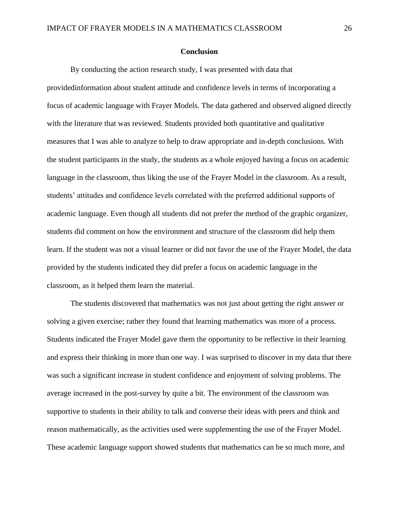#### **Conclusion**

By conducting the action research study, I was presented with data that providedinformation about student attitude and confidence levels in terms of incorporating a focus of academic language with Frayer Models. The data gathered and observed aligned directly with the literature that was reviewed. Students provided both quantitative and qualitative measures that I was able to analyze to help to draw appropriate and in-depth conclusions. With the student participants in the study, the students as a whole enjoyed having a focus on academic language in the classroom, thus liking the use of the Frayer Model in the classroom. As a result, students' attitudes and confidence levels correlated with the preferred additional supports of academic language. Even though all students did not prefer the method of the graphic organizer, students did comment on how the environment and structure of the classroom did help them learn. If the student was not a visual learner or did not favor the use of the Frayer Model, the data provided by the students indicated they did prefer a focus on academic language in the classroom, as it helped them learn the material.

The students discovered that mathematics was not just about getting the right answer or solving a given exercise; rather they found that learning mathematics was more of a process. Students indicated the Frayer Model gave them the opportunity to be reflective in their learning and express their thinking in more than one way. I was surprised to discover in my data that there was such a significant increase in student confidence and enjoyment of solving problems. The average increased in the post-survey by quite a bit. The environment of the classroom was supportive to students in their ability to talk and converse their ideas with peers and think and reason mathematically, as the activities used were supplementing the use of the Frayer Model. These academic language support showed students that mathematics can be so much more, and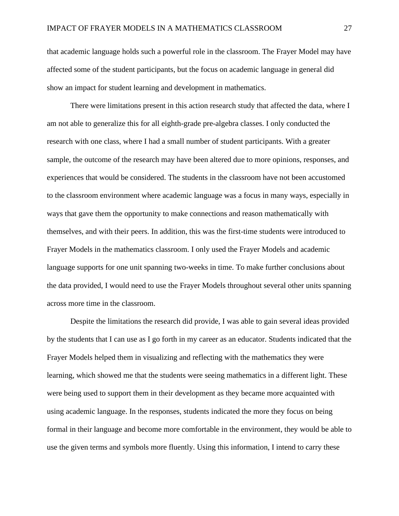that academic language holds such a powerful role in the classroom. The Frayer Model may have affected some of the student participants, but the focus on academic language in general did show an impact for student learning and development in mathematics.

There were limitations present in this action research study that affected the data, where I am not able to generalize this for all eighth-grade pre-algebra classes. I only conducted the research with one class, where I had a small number of student participants. With a greater sample, the outcome of the research may have been altered due to more opinions, responses, and experiences that would be considered. The students in the classroom have not been accustomed to the classroom environment where academic language was a focus in many ways, especially in ways that gave them the opportunity to make connections and reason mathematically with themselves, and with their peers. In addition, this was the first-time students were introduced to Frayer Models in the mathematics classroom. I only used the Frayer Models and academic language supports for one unit spanning two-weeks in time. To make further conclusions about the data provided, I would need to use the Frayer Models throughout several other units spanning across more time in the classroom.

Despite the limitations the research did provide, I was able to gain several ideas provided by the students that I can use as I go forth in my career as an educator. Students indicated that the Frayer Models helped them in visualizing and reflecting with the mathematics they were learning, which showed me that the students were seeing mathematics in a different light. These were being used to support them in their development as they became more acquainted with using academic language. In the responses, students indicated the more they focus on being formal in their language and become more comfortable in the environment, they would be able to use the given terms and symbols more fluently. Using this information, I intend to carry these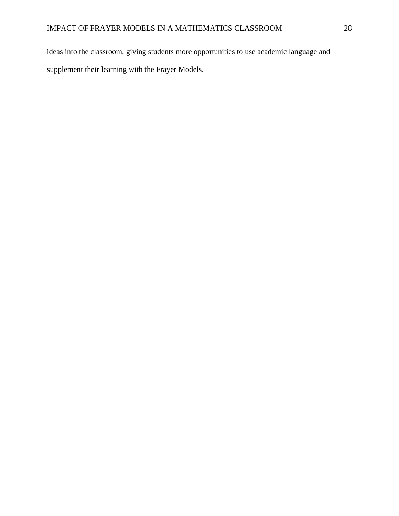ideas into the classroom, giving students more opportunities to use academic language and supplement their learning with the Frayer Models.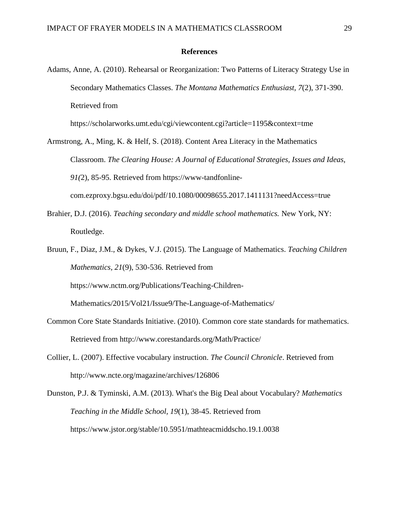#### **References**

Adams, Anne, A. (2010). Rehearsal or Reorganization: Two Patterns of Literacy Strategy Use in Secondary Mathematics Classes. *The Montana Mathematics Enthusiast, 7*(2), 371-390. Retrieved from

https://scholarworks.umt.edu/cgi/viewcontent.cgi?article=1195&context=tme

Armstrong, A., Ming, K. & Helf, S. (2018). Content Area Literacy in the Mathematics Classroom. *The Clearing House: A Journal of Educational Strategies, Issues and Ideas, 91(*2), 85-95. Retrieved from https://www-tandfonlinecom.ezproxy.bgsu.edu/doi/pdf/10.1080/00098655.2017.1411131?needAccess=true

- Brahier, D.J. (2016). *Teaching secondary and middle school mathematics.* New York, NY: Routledge.
- Bruun, F., Diaz, J.M., & Dykes, V.J. (2015). The Language of Mathematics. *Teaching Children Mathematics, 21*(9), 530-536. Retrieved from

https://www.nctm.org/Publications/Teaching-Children-

Mathematics/2015/Vol21/Issue9/The-Language-of-Mathematics/

- Common Core State Standards Initiative. (2010). Common core state standards for mathematics. Retrieved from http://www.corestandards.org/Math/Practice/
- Collier, L. (2007). Effective vocabulary instruction. *The Council Chronicle*. Retrieved from http://www.ncte.org/magazine/archives/126806

Dunston, P.J. & Tyminski, A.M. (2013). What's the Big Deal about Vocabulary? *Mathematics Teaching in the Middle School, 19*(1), 38-45. Retrieved from https://www.jstor.org/stable/10.5951/mathteacmiddscho.19.1.0038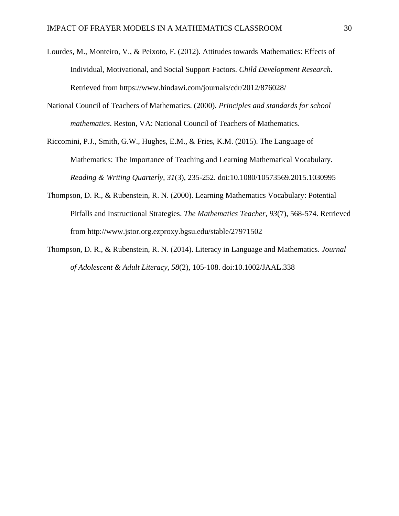- Lourdes, M., Monteiro, V., & Peixoto, F. (2012). Attitudes towards Mathematics: Effects of Individual, Motivational, and Social Support Factors. *Child Development Research*. Retrieved from https://www.hindawi.com/journals/cdr/2012/876028/
- National Council of Teachers of Mathematics. (2000). *Principles and standards for school mathematics*. Reston, VA: National Council of Teachers of Mathematics.
- Riccomini, P.J., Smith, G.W., Hughes, E.M., & Fries, K.M. (2015). The Language of Mathematics: The Importance of Teaching and Learning Mathematical Vocabulary. *Reading & Writing Quarterly, 31*(3), 235-252. doi:10.1080/10573569.2015.1030995
- Thompson, D. R., & Rubenstein, R. N. (2000). Learning Mathematics Vocabulary: Potential Pitfalls and Instructional Strategies. *The Mathematics Teacher, 93*(7), 568-574. Retrieved from http://www.jstor.org.ezproxy.bgsu.edu/stable/27971502
- Thompson, D. R., & Rubenstein, R. N. (2014). Literacy in Language and Mathematics. *Journal of Adolescent & Adult Literacy, 58*(2), 105-108. doi:10.1002/JAAL.338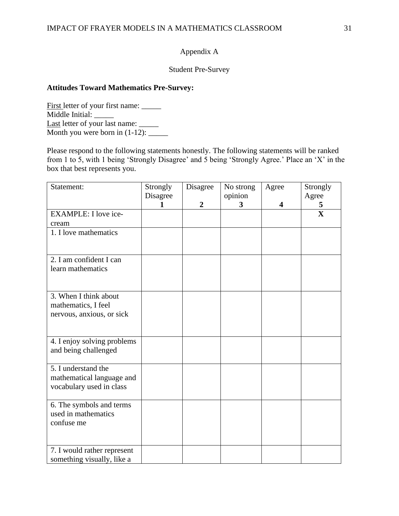# Appendix A

# Student Pre-Survey

## **Attitudes Toward Mathematics Pre-Survey:**

First letter of your first name: \_\_\_\_\_\_ Middle Initial: Last letter of your last name: \_\_\_\_\_ Month you were born in  $(1-12)$ : \_\_\_\_\_\_\_\_

Please respond to the following statements honestly. The following statements will be ranked from 1 to 5, with 1 being 'Strongly Disagree' and 5 being 'Strongly Agree.' Place an 'X' in the box that best represents you.

| Statement:                                                                   | Strongly<br>Disagree | Disagree         | No strong<br>opinion | Agree | Strongly<br>Agree            |
|------------------------------------------------------------------------------|----------------------|------------------|----------------------|-------|------------------------------|
| <b>EXAMPLE: I love ice-</b>                                                  |                      | $\boldsymbol{2}$ | 3                    | 4     | 5<br>$\overline{\mathbf{X}}$ |
| cream<br>1. I love mathematics                                               |                      |                  |                      |       |                              |
| 2. I am confident I can                                                      |                      |                  |                      |       |                              |
| learn mathematics                                                            |                      |                  |                      |       |                              |
| 3. When I think about<br>mathematics, I feel<br>nervous, anxious, or sick    |                      |                  |                      |       |                              |
| 4. I enjoy solving problems<br>and being challenged                          |                      |                  |                      |       |                              |
| 5. I understand the<br>mathematical language and<br>vocabulary used in class |                      |                  |                      |       |                              |
| 6. The symbols and terms<br>used in mathematics<br>confuse me                |                      |                  |                      |       |                              |
| 7. I would rather represent<br>something visually, like a                    |                      |                  |                      |       |                              |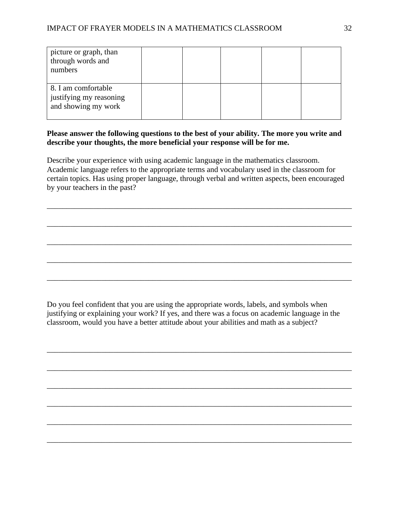| picture or graph, than<br>through words and<br>numbers                |  |  |  |
|-----------------------------------------------------------------------|--|--|--|
| 8. I am comfortable<br>justifying my reasoning<br>and showing my work |  |  |  |

# **Please answer the following questions to the best of your ability. The more you write and describe your thoughts, the more beneficial your response will be for me.**

Describe your experience with using academic language in the mathematics classroom. Academic language refers to the appropriate terms and vocabulary used in the classroom for certain topics. Has using proper language, through verbal and written aspects, been encouraged by your teachers in the past?

\_\_\_\_\_\_\_\_\_\_\_\_\_\_\_\_\_\_\_\_\_\_\_\_\_\_\_\_\_\_\_\_\_\_\_\_\_\_\_\_\_\_\_\_\_\_\_\_\_\_\_\_\_\_\_\_\_\_\_\_\_\_\_\_\_\_\_\_\_\_\_\_\_\_\_\_\_\_

\_\_\_\_\_\_\_\_\_\_\_\_\_\_\_\_\_\_\_\_\_\_\_\_\_\_\_\_\_\_\_\_\_\_\_\_\_\_\_\_\_\_\_\_\_\_\_\_\_\_\_\_\_\_\_\_\_\_\_\_\_\_\_\_\_\_\_\_\_\_\_\_\_\_\_\_\_\_

\_\_\_\_\_\_\_\_\_\_\_\_\_\_\_\_\_\_\_\_\_\_\_\_\_\_\_\_\_\_\_\_\_\_\_\_\_\_\_\_\_\_\_\_\_\_\_\_\_\_\_\_\_\_\_\_\_\_\_\_\_\_\_\_\_\_\_\_\_\_\_\_\_\_\_\_\_\_

\_\_\_\_\_\_\_\_\_\_\_\_\_\_\_\_\_\_\_\_\_\_\_\_\_\_\_\_\_\_\_\_\_\_\_\_\_\_\_\_\_\_\_\_\_\_\_\_\_\_\_\_\_\_\_\_\_\_\_\_\_\_\_\_\_\_\_\_\_\_\_\_\_\_\_\_\_\_

\_\_\_\_\_\_\_\_\_\_\_\_\_\_\_\_\_\_\_\_\_\_\_\_\_\_\_\_\_\_\_\_\_\_\_\_\_\_\_\_\_\_\_\_\_\_\_\_\_\_\_\_\_\_\_\_\_\_\_\_\_\_\_\_\_\_\_\_\_\_\_\_\_\_\_\_\_\_

Do you feel confident that you are using the appropriate words, labels, and symbols when justifying or explaining your work? If yes, and there was a focus on academic language in the classroom, would you have a better attitude about your abilities and math as a subject?

\_\_\_\_\_\_\_\_\_\_\_\_\_\_\_\_\_\_\_\_\_\_\_\_\_\_\_\_\_\_\_\_\_\_\_\_\_\_\_\_\_\_\_\_\_\_\_\_\_\_\_\_\_\_\_\_\_\_\_\_\_\_\_\_\_\_\_\_\_\_\_\_\_\_\_\_\_\_

\_\_\_\_\_\_\_\_\_\_\_\_\_\_\_\_\_\_\_\_\_\_\_\_\_\_\_\_\_\_\_\_\_\_\_\_\_\_\_\_\_\_\_\_\_\_\_\_\_\_\_\_\_\_\_\_\_\_\_\_\_\_\_\_\_\_\_\_\_\_\_\_\_\_\_\_\_\_

\_\_\_\_\_\_\_\_\_\_\_\_\_\_\_\_\_\_\_\_\_\_\_\_\_\_\_\_\_\_\_\_\_\_\_\_\_\_\_\_\_\_\_\_\_\_\_\_\_\_\_\_\_\_\_\_\_\_\_\_\_\_\_\_\_\_\_\_\_\_\_\_\_\_\_\_\_\_

\_\_\_\_\_\_\_\_\_\_\_\_\_\_\_\_\_\_\_\_\_\_\_\_\_\_\_\_\_\_\_\_\_\_\_\_\_\_\_\_\_\_\_\_\_\_\_\_\_\_\_\_\_\_\_\_\_\_\_\_\_\_\_\_\_\_\_\_\_\_\_\_\_\_\_\_\_\_

\_\_\_\_\_\_\_\_\_\_\_\_\_\_\_\_\_\_\_\_\_\_\_\_\_\_\_\_\_\_\_\_\_\_\_\_\_\_\_\_\_\_\_\_\_\_\_\_\_\_\_\_\_\_\_\_\_\_\_\_\_\_\_\_\_\_\_\_\_\_\_\_\_\_\_\_\_\_

\_\_\_\_\_\_\_\_\_\_\_\_\_\_\_\_\_\_\_\_\_\_\_\_\_\_\_\_\_\_\_\_\_\_\_\_\_\_\_\_\_\_\_\_\_\_\_\_\_\_\_\_\_\_\_\_\_\_\_\_\_\_\_\_\_\_\_\_\_\_\_\_\_\_\_\_\_\_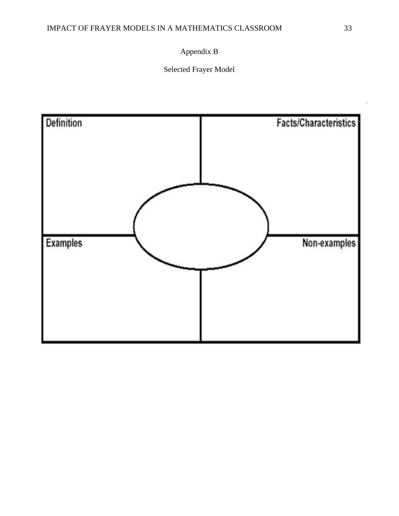# Appendix B

Selected Frayer Model

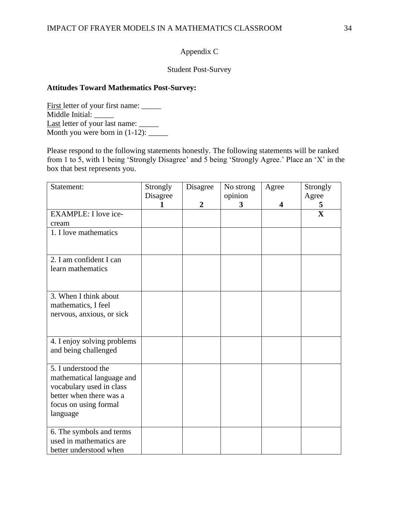# Appendix C

# Student Post-Survey

## **Attitudes Toward Mathematics Post-Survey:**

First letter of your first name: \_\_\_\_\_\_ Middle Initial: Last letter of your last name: \_\_\_\_\_ Month you were born in  $(1-12)$ : \_\_\_\_\_\_\_\_

Please respond to the following statements honestly. The following statements will be ranked from 1 to 5, with 1 being 'Strongly Disagree' and 5 being 'Strongly Agree.' Place an 'X' in the box that best represents you.

| Statement:                  | Strongly<br>Disagree | Disagree       | No strong<br>opinion | Agree | Strongly<br>Agree |
|-----------------------------|----------------------|----------------|----------------------|-------|-------------------|
|                             |                      | $\overline{2}$ | 3                    | 4     | 5                 |
| EXAMPLE: I love ice-        |                      |                |                      |       | $\mathbf{X}$      |
| cream                       |                      |                |                      |       |                   |
| 1. I love mathematics       |                      |                |                      |       |                   |
|                             |                      |                |                      |       |                   |
| 2. I am confident I can     |                      |                |                      |       |                   |
| learn mathematics           |                      |                |                      |       |                   |
|                             |                      |                |                      |       |                   |
|                             |                      |                |                      |       |                   |
| 3. When I think about       |                      |                |                      |       |                   |
| mathematics, I feel         |                      |                |                      |       |                   |
| nervous, anxious, or sick   |                      |                |                      |       |                   |
|                             |                      |                |                      |       |                   |
|                             |                      |                |                      |       |                   |
| 4. I enjoy solving problems |                      |                |                      |       |                   |
| and being challenged        |                      |                |                      |       |                   |
| 5. I understood the         |                      |                |                      |       |                   |
| mathematical language and   |                      |                |                      |       |                   |
| vocabulary used in class    |                      |                |                      |       |                   |
| better when there was a     |                      |                |                      |       |                   |
| focus on using formal       |                      |                |                      |       |                   |
| language                    |                      |                |                      |       |                   |
|                             |                      |                |                      |       |                   |
| 6. The symbols and terms    |                      |                |                      |       |                   |
| used in mathematics are     |                      |                |                      |       |                   |
| better understood when      |                      |                |                      |       |                   |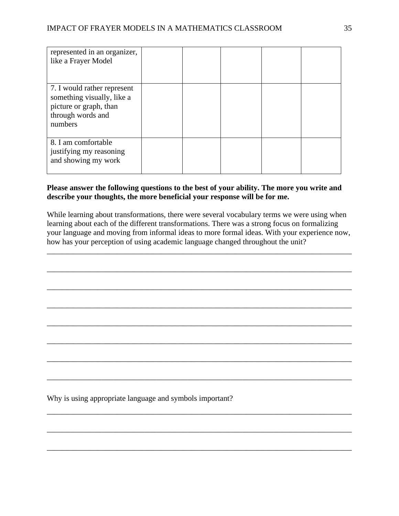| represented in an organizer,<br>like a Frayer Model                                                                 |  |  |  |
|---------------------------------------------------------------------------------------------------------------------|--|--|--|
| 7. I would rather represent<br>something visually, like a<br>picture or graph, than<br>through words and<br>numbers |  |  |  |
| 8. I am comfortable<br>justifying my reasoning<br>and showing my work                                               |  |  |  |

### **Please answer the following questions to the best of your ability. The more you write and describe your thoughts, the more beneficial your response will be for me.**

While learning about transformations, there were several vocabulary terms we were using when learning about each of the different transformations. There was a strong focus on formalizing your language and moving from informal ideas to more formal ideas. With your experience now, how has your perception of using academic language changed throughout the unit?

\_\_\_\_\_\_\_\_\_\_\_\_\_\_\_\_\_\_\_\_\_\_\_\_\_\_\_\_\_\_\_\_\_\_\_\_\_\_\_\_\_\_\_\_\_\_\_\_\_\_\_\_\_\_\_\_\_\_\_\_\_\_\_\_\_\_\_\_\_\_\_\_\_\_\_\_\_\_

\_\_\_\_\_\_\_\_\_\_\_\_\_\_\_\_\_\_\_\_\_\_\_\_\_\_\_\_\_\_\_\_\_\_\_\_\_\_\_\_\_\_\_\_\_\_\_\_\_\_\_\_\_\_\_\_\_\_\_\_\_\_\_\_\_\_\_\_\_\_\_\_\_\_\_\_\_\_

\_\_\_\_\_\_\_\_\_\_\_\_\_\_\_\_\_\_\_\_\_\_\_\_\_\_\_\_\_\_\_\_\_\_\_\_\_\_\_\_\_\_\_\_\_\_\_\_\_\_\_\_\_\_\_\_\_\_\_\_\_\_\_\_\_\_\_\_\_\_\_\_\_\_\_\_\_\_

\_\_\_\_\_\_\_\_\_\_\_\_\_\_\_\_\_\_\_\_\_\_\_\_\_\_\_\_\_\_\_\_\_\_\_\_\_\_\_\_\_\_\_\_\_\_\_\_\_\_\_\_\_\_\_\_\_\_\_\_\_\_\_\_\_\_\_\_\_\_\_\_\_\_\_\_\_\_

\_\_\_\_\_\_\_\_\_\_\_\_\_\_\_\_\_\_\_\_\_\_\_\_\_\_\_\_\_\_\_\_\_\_\_\_\_\_\_\_\_\_\_\_\_\_\_\_\_\_\_\_\_\_\_\_\_\_\_\_\_\_\_\_\_\_\_\_\_\_\_\_\_\_\_\_\_\_

\_\_\_\_\_\_\_\_\_\_\_\_\_\_\_\_\_\_\_\_\_\_\_\_\_\_\_\_\_\_\_\_\_\_\_\_\_\_\_\_\_\_\_\_\_\_\_\_\_\_\_\_\_\_\_\_\_\_\_\_\_\_\_\_\_\_\_\_\_\_\_\_\_\_\_\_\_\_

\_\_\_\_\_\_\_\_\_\_\_\_\_\_\_\_\_\_\_\_\_\_\_\_\_\_\_\_\_\_\_\_\_\_\_\_\_\_\_\_\_\_\_\_\_\_\_\_\_\_\_\_\_\_\_\_\_\_\_\_\_\_\_\_\_\_\_\_\_\_\_\_\_\_\_\_\_\_

\_\_\_\_\_\_\_\_\_\_\_\_\_\_\_\_\_\_\_\_\_\_\_\_\_\_\_\_\_\_\_\_\_\_\_\_\_\_\_\_\_\_\_\_\_\_\_\_\_\_\_\_\_\_\_\_\_\_\_\_\_\_\_\_\_\_\_\_\_\_\_\_\_\_\_\_\_\_

\_\_\_\_\_\_\_\_\_\_\_\_\_\_\_\_\_\_\_\_\_\_\_\_\_\_\_\_\_\_\_\_\_\_\_\_\_\_\_\_\_\_\_\_\_\_\_\_\_\_\_\_\_\_\_\_\_\_\_\_\_\_\_\_\_\_\_\_\_\_\_\_\_\_\_\_\_\_

\_\_\_\_\_\_\_\_\_\_\_\_\_\_\_\_\_\_\_\_\_\_\_\_\_\_\_\_\_\_\_\_\_\_\_\_\_\_\_\_\_\_\_\_\_\_\_\_\_\_\_\_\_\_\_\_\_\_\_\_\_\_\_\_\_\_\_\_\_\_\_\_\_\_\_\_\_\_

\_\_\_\_\_\_\_\_\_\_\_\_\_\_\_\_\_\_\_\_\_\_\_\_\_\_\_\_\_\_\_\_\_\_\_\_\_\_\_\_\_\_\_\_\_\_\_\_\_\_\_\_\_\_\_\_\_\_\_\_\_\_\_\_\_\_\_\_\_\_\_\_\_\_\_\_\_\_

Why is using appropriate language and symbols important?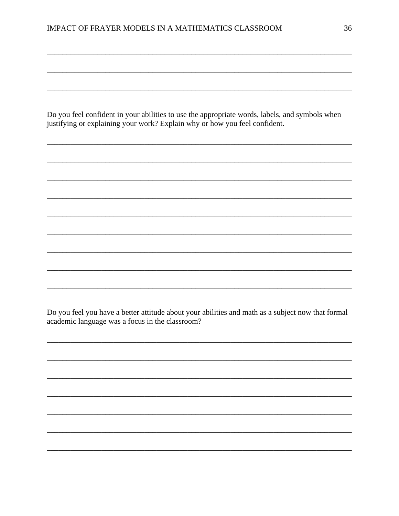Do you feel confident in your abilities to use the appropriate words, labels, and symbols when justifying or explaining your work? Explain why or how you feel confident.

Do you feel you have a better attitude about your abilities and math as a subject now that formal academic language was a focus in the classroom?